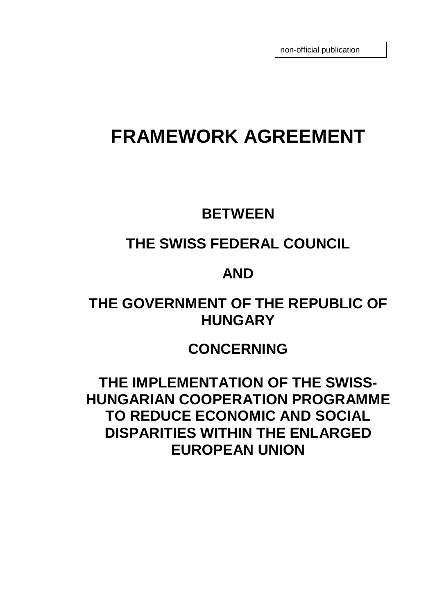non-official publication

# **FRAMEWORK AGREEMENT**

### **BETWEEN**

# **THE SWISS FEDERAL COUNCIL**

### **AND**

# **THE GOVERNMENT OF THE REPUBLIC OF HUNGARY**

# **CONCERNING**

**THE IMPLEMENTATION OF THE SWISS-HUNGARIAN COOPERATION PROGRAMME TO REDUCE ECONOMIC AND SOCIAL DISPARITIES WITHIN THE ENLARGED EUROPEAN UNION**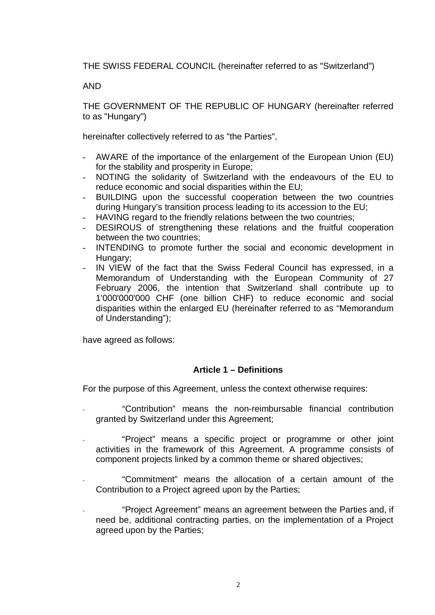THE SWISS FEDERAL COUNCIL (hereinafter referred to as "Switzerland")

#### AND

THE GOVERNMENT OF THE REPUBLIC OF HUNGARY (hereinafter referred to as "Hungary")

hereinafter collectively referred to as "the Parties",

- AWARE of the importance of the enlargement of the European Union (EU) for the stability and prosperity in Europe;
- NOTING the solidarity of Switzerland with the endeavours of the EU to reduce economic and social disparities within the EU;
- BUILDING upon the successful cooperation between the two countries during Hungary's transition process leading to its accession to the EU;
- HAVING regard to the friendly relations between the two countries;
- DESIROUS of strengthening these relations and the fruitful cooperation between the two countries;
- INTENDING to promote further the social and economic development in Hungary;
- IN VIEW of the fact that the Swiss Federal Council has expressed, in a Memorandum of Understanding with the European Community of 27 February 2006, the intention that Switzerland shall contribute up to 1'000'000'000 CHF (one billion CHF) to reduce economic and social disparities within the enlarged EU (hereinafter referred to as "Memorandum of Understanding");

have agreed as follows:

#### **Article 1 – Definitions**

For the purpose of this Agreement, unless the context otherwise requires:

- "Contribution" means the non-reimbursable financial contribution granted by Switzerland under this Agreement;
- "Project" means a specific project or programme or other joint activities in the framework of this Agreement. A programme consists of component projects linked by a common theme or shared objectives;
- "Commitment" means the allocation of a certain amount of the Contribution to a Project agreed upon by the Parties;
- "Project Agreement" means an agreement between the Parties and, if need be, additional contracting parties, on the implementation of a Project agreed upon by the Parties;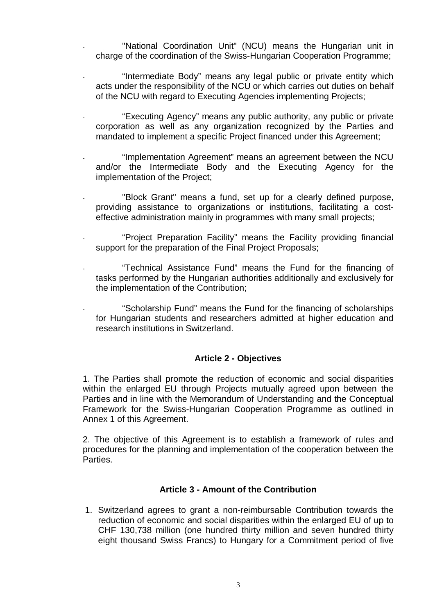- "National Coordination Unit" (NCU) means the Hungarian unit in charge of the coordination of the Swiss-Hungarian Cooperation Programme;
- "Intermediate Body" means any legal public or private entity which acts under the responsibility of the NCU or which carries out duties on behalf of the NCU with regard to Executing Agencies implementing Projects;
- "Executing Agency" means any public authority, any public or private corporation as well as any organization recognized by the Parties and mandated to implement a specific Project financed under this Agreement;
- "Implementation Agreement" means an agreement between the NCU and/or the Intermediate Body and the Executing Agency for the implementation of the Project;
- "Block Grant" means a fund, set up for a clearly defined purpose, providing assistance to organizations or institutions, facilitating a costeffective administration mainly in programmes with many small projects;
- "Project Preparation Facility" means the Facility providing financial support for the preparation of the Final Project Proposals;
- "Technical Assistance Fund" means the Fund for the financing of tasks performed by the Hungarian authorities additionally and exclusively for the implementation of the Contribution;
- "Scholarship Fund" means the Fund for the financing of scholarships for Hungarian students and researchers admitted at higher education and research institutions in Switzerland.

#### **Article 2 - Objectives**

1. The Parties shall promote the reduction of economic and social disparities within the enlarged EU through Projects mutually agreed upon between the Parties and in line with the Memorandum of Understanding and the Conceptual Framework for the Swiss-Hungarian Cooperation Programme as outlined in Annex 1 of this Agreement.

2. The objective of this Agreement is to establish a framework of rules and procedures for the planning and implementation of the cooperation between the Parties.

#### **Article 3 - Amount of the Contribution**

1. Switzerland agrees to grant a non-reimbursable Contribution towards the reduction of economic and social disparities within the enlarged EU of up to CHF 130,738 million (one hundred thirty million and seven hundred thirty eight thousand Swiss Francs) to Hungary for a Commitment period of five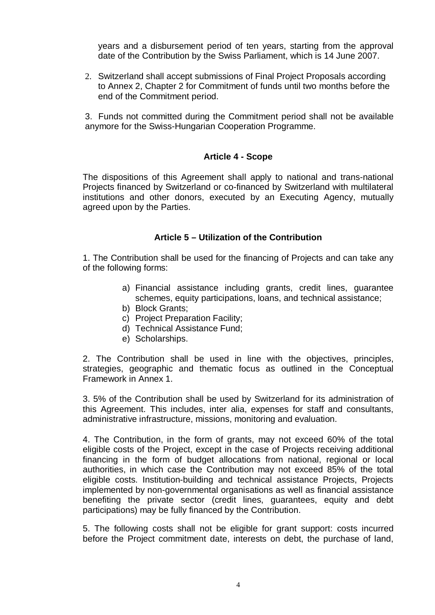years and a disbursement period of ten years, starting from the approval date of the Contribution by the Swiss Parliament, which is 14 June 2007.

2. Switzerland shall accept submissions of Final Project Proposals according to Annex 2, Chapter 2 for Commitment of funds until two months before the end of the Commitment period.

3. Funds not committed during the Commitment period shall not be available anymore for the Swiss-Hungarian Cooperation Programme.

#### **Article 4 - Scope**

The dispositions of this Agreement shall apply to national and trans-national Projects financed by Switzerland or co-financed by Switzerland with multilateral institutions and other donors, executed by an Executing Agency, mutually agreed upon by the Parties.

#### **Article 5 – Utilization of the Contribution**

1. The Contribution shall be used for the financing of Projects and can take any of the following forms:

- a) Financial assistance including grants, credit lines, guarantee schemes, equity participations, loans, and technical assistance;
- b) Block Grants;
- c) Project Preparation Facility;
- d) Technical Assistance Fund;
- e) Scholarships.

2. The Contribution shall be used in line with the objectives, principles, strategies, geographic and thematic focus as outlined in the Conceptual Framework in Annex 1.

3. 5% of the Contribution shall be used by Switzerland for its administration of this Agreement. This includes, inter alia, expenses for staff and consultants, administrative infrastructure, missions, monitoring and evaluation.

4. The Contribution, in the form of grants, may not exceed 60% of the total eligible costs of the Project, except in the case of Projects receiving additional financing in the form of budget allocations from national, regional or local authorities, in which case the Contribution may not exceed 85% of the total eligible costs. Institution-building and technical assistance Projects, Projects implemented by non-governmental organisations as well as financial assistance benefiting the private sector (credit lines, guarantees, equity and debt participations) may be fully financed by the Contribution.

5. The following costs shall not be eligible for grant support: costs incurred before the Project commitment date, interests on debt, the purchase of land,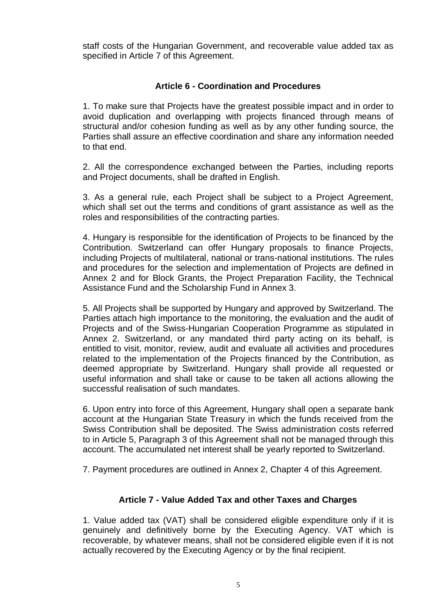staff costs of the Hungarian Government, and recoverable value added tax as specified in Article 7 of this Agreement.

#### **Article 6 - Coordination and Procedures**

1. To make sure that Projects have the greatest possible impact and in order to avoid duplication and overlapping with projects financed through means of structural and/or cohesion funding as well as by any other funding source, the Parties shall assure an effective coordination and share any information needed to that end.

2. All the correspondence exchanged between the Parties, including reports and Project documents, shall be drafted in English.

3. As a general rule, each Project shall be subject to a Project Agreement, which shall set out the terms and conditions of grant assistance as well as the roles and responsibilities of the contracting parties.

4. Hungary is responsible for the identification of Projects to be financed by the Contribution. Switzerland can offer Hungary proposals to finance Projects, including Projects of multilateral, national or trans-national institutions. The rules and procedures for the selection and implementation of Projects are defined in Annex 2 and for Block Grants, the Project Preparation Facility, the Technical Assistance Fund and the Scholarship Fund in Annex 3.

5. All Projects shall be supported by Hungary and approved by Switzerland. The Parties attach high importance to the monitoring, the evaluation and the audit of Projects and of the Swiss-Hungarian Cooperation Programme as stipulated in Annex 2. Switzerland, or any mandated third party acting on its behalf, is entitled to visit, monitor, review, audit and evaluate all activities and procedures related to the implementation of the Projects financed by the Contribution, as deemed appropriate by Switzerland. Hungary shall provide all requested or useful information and shall take or cause to be taken all actions allowing the successful realisation of such mandates.

6. Upon entry into force of this Agreement, Hungary shall open a separate bank account at the Hungarian State Treasury in which the funds received from the Swiss Contribution shall be deposited. The Swiss administration costs referred to in Article 5, Paragraph 3 of this Agreement shall not be managed through this account. The accumulated net interest shall be yearly reported to Switzerland.

7. Payment procedures are outlined in Annex 2, Chapter 4 of this Agreement.

#### **Article 7 - Value Added Tax and other Taxes and Charges**

1. Value added tax (VAT) shall be considered eligible expenditure only if it is genuinely and definitively borne by the Executing Agency. VAT which is recoverable, by whatever means, shall not be considered eligible even if it is not actually recovered by the Executing Agency or by the final recipient.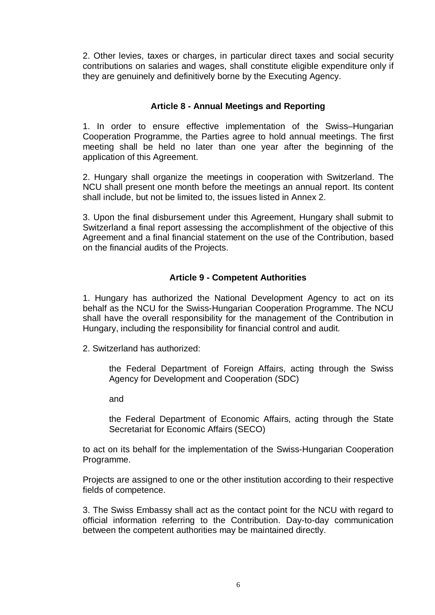2. Other levies, taxes or charges, in particular direct taxes and social security contributions on salaries and wages, shall constitute eligible expenditure only if they are genuinely and definitively borne by the Executing Agency.

#### **Article 8 - Annual Meetings and Reporting**

1. In order to ensure effective implementation of the Swiss–Hungarian Cooperation Programme, the Parties agree to hold annual meetings. The first meeting shall be held no later than one year after the beginning of the application of this Agreement.

2. Hungary shall organize the meetings in cooperation with Switzerland. The NCU shall present one month before the meetings an annual report. Its content shall include, but not be limited to, the issues listed in Annex 2.

3. Upon the final disbursement under this Agreement, Hungary shall submit to Switzerland a final report assessing the accomplishment of the objective of this Agreement and a final financial statement on the use of the Contribution, based on the financial audits of the Projects.

#### **Article 9 - Competent Authorities**

1. Hungary has authorized the National Development Agency to act on its behalf as the NCU for the Swiss-Hungarian Cooperation Programme. The NCU shall have the overall responsibility for the management of the Contribution in Hungary, including the responsibility for financial control and audit.

2. Switzerland has authorized:

the Federal Department of Foreign Affairs, acting through the Swiss Agency for Development and Cooperation (SDC)

and

the Federal Department of Economic Affairs, acting through the State Secretariat for Economic Affairs (SECO)

to act on its behalf for the implementation of the Swiss-Hungarian Cooperation Programme.

Projects are assigned to one or the other institution according to their respective fields of competence.

3. The Swiss Embassy shall act as the contact point for the NCU with regard to official information referring to the Contribution. Day-to-day communication between the competent authorities may be maintained directly.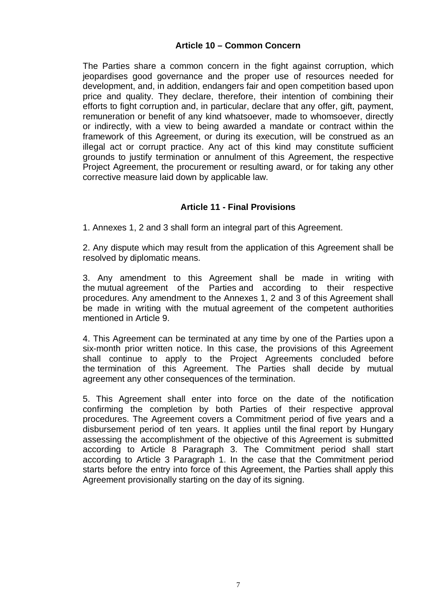#### **Article 10 – Common Concern**

The Parties share a common concern in the fight against corruption, which jeopardises good governance and the proper use of resources needed for development, and, in addition, endangers fair and open competition based upon price and quality. They declare, therefore, their intention of combining their efforts to fight corruption and, in particular, declare that any offer, gift, payment, remuneration or benefit of any kind whatsoever, made to whomsoever, directly or indirectly, with a view to being awarded a mandate or contract within the framework of this Agreement, or during its execution, will be construed as an illegal act or corrupt practice. Any act of this kind may constitute sufficient grounds to justify termination or annulment of this Agreement, the respective Project Agreement, the procurement or resulting award, or for taking any other corrective measure laid down by applicable law.

#### **Article 11 - Final Provisions**

1. Annexes 1, 2 and 3 shall form an integral part of this Agreement.

2. Any dispute which may result from the application of this Agreement shall be resolved by diplomatic means.

3. Any amendment to this Agreement shall be made in writing with the mutual agreement of the Parties and according to their respective procedures. Any amendment to the Annexes 1, 2 and 3 of this Agreement shall be made in writing with the mutual agreement of the competent authorities mentioned in Article 9.

4. This Agreement can be terminated at any time by one of the Parties upon a six-month prior written notice. In this case, the provisions of this Agreement shall continue to apply to the Project Agreements concluded before the termination of this Agreement. The Parties shall decide by mutual agreement any other consequences of the termination.

5. This Agreement shall enter into force on the date of the notification confirming the completion by both Parties of their respective approval procedures. The Agreement covers a Commitment period of five years and a disbursement period of ten years. It applies until the final report by Hungary assessing the accomplishment of the objective of this Agreement is submitted according to Article 8 Paragraph 3. The Commitment period shall start according to Article 3 Paragraph 1. In the case that the Commitment period starts before the entry into force of this Agreement, the Parties shall apply this Agreement provisionally starting on the day of its signing.